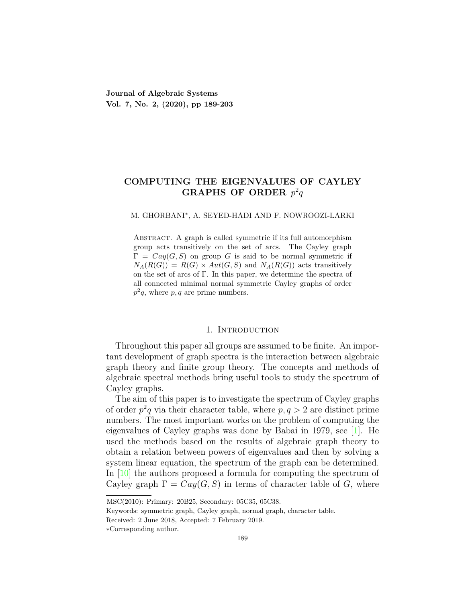# **COMPUTING THE EIGENVALUES OF CAYLEY GRAPHS OF ORDER** *p* 2 *q*

#### M. GHORBANI*<sup>∗</sup>* , A. SEYED-HADI AND F. NOWROOZI-LARKI

Abstract. A graph is called symmetric if its full automorphism group acts transitively on the set of arcs. The Cayley graph  $\Gamma = Cay(G, S)$  on group *G* is said to be normal symmetric if  $N_A(R(G)) = R(G) \rtimes Aut(G, S)$  and  $N_A(R(G))$  acts transitively on the set of arcs of Γ. In this paper, we determine the spectra of all connected minimal normal symmetric Cayley graphs of order  $p^2q$ , where  $p, q$  are prime numbers.

#### 1. INTRODUCTION

Throughout this paper all groups are assumed to be finite. An important development of graph spectra is the interaction between algebraic graph theory and finite group theory. The concepts and methods of algebraic spectral methods bring useful tools to study the spectrum of Cayley graphs.

The aim of this paper is to investigate the spectrum of Cayley graphs of order  $p^2q$  via their character table, where  $p, q > 2$  are distinct prime numbers. The most important works on the problem of computing the eigenvalues of Cayley graphs was done by Babai in 1979, see [[1](#page-13-0)]. He used the methods based on the results of algebraic graph theory to obtain a relation between powers of eigenvalues and then by solving a system linear equation, the spectrum of the graph can be determined. In [\[10](#page-13-1)] the authors proposed a formula for computing the spectrum of Cayley graph  $\Gamma = Cay(G, S)$  in terms of character table of *G*, where

MSC(2010): Primary: 20B25, Secondary: 05C35, 05C38.

Keywords: symmetric graph, Cayley graph, normal graph, character table.

Received: 2 June 2018, Accepted: 7 February 2019.

*<sup>∗</sup>*Corresponding author.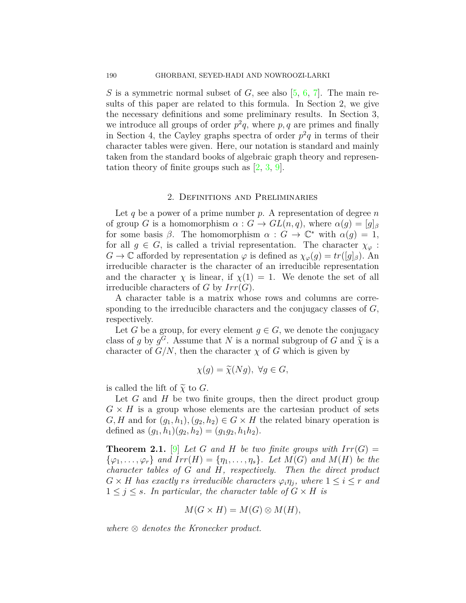*S* is a symmetric normal subset of *G*, see also [[5,](#page-13-2) [6](#page-13-3), [7](#page-13-4)]. The main results of this paper are related to this formula. In Section 2, we give the necessary definitions and some preliminary results. In Section 3, we introduce all groups of order  $p^2q$ , where  $p, q$  are primes and finally in Section 4, the Cayley graphs spectra of order  $p^2q$  in terms of their character tables were given. Here, our notation is standard and mainly taken from the standard books of algebraic graph theory and representation theory of finite groups such as  $[2, 3, 9]$  $[2, 3, 9]$  $[2, 3, 9]$  $[2, 3, 9]$  $[2, 3, 9]$  $[2, 3, 9]$ .

### 2. Definitions and Preliminaries

Let  $q$  be a power of a prime number  $p$ . A representation of degree  $n$ of group *G* is a homomorphism  $\alpha$  :  $G \rightarrow GL(n,q)$ , where  $\alpha(g) = [g]_B$ for some basis  $\beta$ . The homomorphism  $\alpha : G \to \mathbb{C}^*$  with  $\alpha(g) = 1$ , for all  $g \in G$ , is called a trivial representation. The character  $\chi_{\varphi}$ :  $G \to \mathbb{C}$  afforded by representation  $\varphi$  is defined as  $\chi_{\varphi}(g) = tr([g]_{\beta})$ . An irreducible character is the character of an irreducible representation and the character  $\chi$  is linear, if  $\chi(1) = 1$ . We denote the set of all irreducible characters of *G* by *Irr*(*G*).

A character table is a matrix whose rows and columns are corresponding to the irreducible characters and the conjugacy classes of *G*, respectively.

Let *G* be a group, for every element  $g \in G$ , we denote the conjugacy class of *g* by  $g^G$ . Assume that *N* is a normal subgroup of *G* and  $\tilde{\chi}$  is a character of *G*  $\mathcal{N}$  than the character *s* of *G* which is given by character of  $G/N$ , then the character  $\chi$  of  $G$  which is given by

$$
\chi(g) = \widetilde{\chi}(Ng), \ \forall g \in G,
$$

is called the lift of  $\widetilde{\chi}$  to *G*.

Let *G* and *H* be two finite groups, then the direct product group  $G \times H$  is a group whose elements are the cartesian product of sets  $G, H$  and for  $(g_1, h_1), (g_2, h_2) \in G \times H$  the related binary operation is defined as  $(g_1, h_1)(g_2, h_2) = (g_1g_2, h_1h_2)$ .

<span id="page-1-0"></span>**Theorem 2.1.** [\[9\]](#page-13-7) Let G and H be two finite groups with  $Irr(G)$  =  $\{\varphi_1, \ldots, \varphi_r\}$  *and*  $Irr(H) = \{\eta_1, \ldots, \eta_s\}$ *. Let*  $M(G)$  *and*  $M(H)$  *be the character tables of G and H, respectively. Then the direct product*  $G \times H$  *has exactly rs irreducible characters*  $\varphi_i \eta_j$ *, where*  $1 \leq i \leq r$  *and*  $1 \leq j \leq s$ *. In particular, the character table of*  $G \times H$  *is* 

$$
M(G \times H) = M(G) \otimes M(H),
$$

*where ⊗ denotes the Kronecker product.*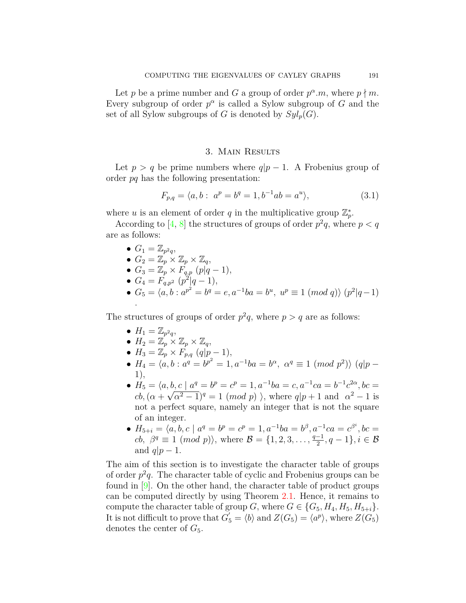Let *p* be a prime number and *G* a group of order  $p^{\alpha}.m$ , where  $p \nmid m$ . Every subgroup of order  $p^{\alpha}$  is called a Sylow subgroup of *G* and the set of all Sylow subgroups of *G* is denoted by  $Syl_p(G)$ .

## 3. Main Results

Let  $p > q$  be prime numbers where  $q|p-1$ . A Frobenius group of order *pq* has the following presentation:

$$
F_{p,q} = \langle a, b : a^p = b^q = 1, b^{-1}ab = a^u \rangle,
$$
\n(3.1)

where *u* is an element of order *q* in the multiplicative group  $\mathbb{Z}_p^*$ .

According to  $[4, 8]$  $[4, 8]$  the structures of groups of order  $p^2q$ , where  $p < q$ are as follows:

- $G_1 = \mathbb{Z}_{p^2 q}$
- $G_2 = \mathbb{Z}_p \times \mathbb{Z}_p \times \mathbb{Z}_q$

• 
$$
G_3 = \mathbb{Z}_p \times F_{q,p} (p|q-1),
$$

- $G_4 = F_{q,p^2} (p^2 | q 1),$
- $G_5 = \langle a, b : a^{p^2} = b^q = e, a^{-1}ba = b^u, w^p \equiv 1 \pmod{q}$   $(p^2|q-1)$ .

The structures of groups of order  $p^2q$ , where  $p > q$  are as follows:

- $H_1 = \mathbb{Z}_{p^2 q}$
- $H_2 = \mathbb{Z}_p^P \times \mathbb{Z}_p \times \mathbb{Z}_q$
- *•*  $H_3 = \mathbb{Z}_p \times F_{p,q}$  (*q*|*p* − 1),
- $H_4 = \langle a, b : a^q = b^{p^2} = 1, a^{-1}ba = b^{\alpha}, \alpha^q \equiv 1 \pmod{p^2}$   $(q|p -$ 1),
- $H_5 = \langle a, b, c \mid a^q = b^p = c^p = 1, a^{-1}ba = c, a^{-1}ca = b^{-1}c^{2\alpha}, bc =$  $cb, (\alpha + \sqrt{\alpha^2 - 1})^q = 1 \pmod{p}$ , where  $q|p+1$  and  $\alpha^2 - 1$  is not a perfect square, namely an integer that is not the square of an integer.
- $H_{5+i} = \langle a, b, c \mid a^q = b^p = c^p = 1, a^{-1}ba = b^{\beta}, a^{-1}ca = c^{\beta^i}, bc =$  $\mathcal{B} = \{1, 2, 3, \ldots, \frac{q-1}{2}, q-1\}, i \in \mathcal{B}$ and  $q|p-1$ .

The aim of this section is to investigate the character table of groups of order  $p^2q$ . The character table of cyclic and Frobenius groups can be found in  $[9]$  $[9]$ . On the other hand, the character table of product groups can be computed directly by using Theorem [2.1](#page-1-0). Hence, it remains to compute the character table of group *G*, where  $G \in \{G_5, H_4, H_5, H_{5+i}\}.$ It is not difficult to prove that  $G'_{5} = \langle b \rangle$  and  $Z(G_{5}) = \langle a^{p} \rangle$ , where  $Z(G_{5})$ denotes the center of  $G_5$ .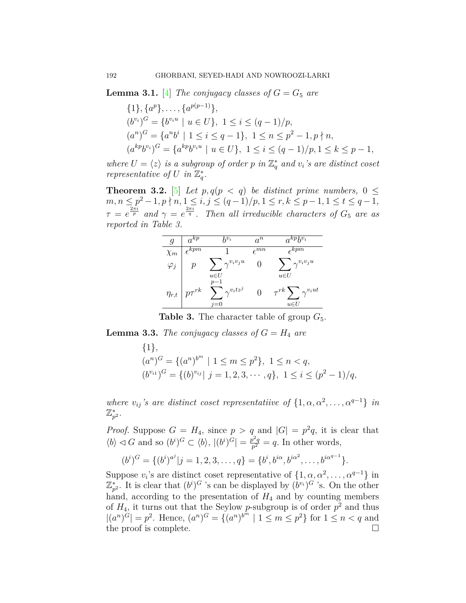<span id="page-3-0"></span>**Lemma 3.1.** [\[4](#page-13-8)] *The conjugacy classes of*  $G = G_5$  *are* 

$$
\{1\}, \{a^p\}, \ldots, \{a^{p(p-1)}\},
$$
  
\n
$$
(b^{v_i})^G = \{b^{v_i u} \mid u \in U\}, \ 1 \le i \le (q-1)/p,
$$
  
\n
$$
(a^n)^G = \{a^n b^i \mid 1 \le i \le q-1\}, \ 1 \le n \le p^2-1, p \nmid n,
$$
  
\n
$$
(a^{kp} b^{v_i})^G = \{a^{kp} b^{v_i u} \mid u \in U\}, \ 1 \le i \le (q-1)/p, 1 \le k \le p-1,
$$

*where*  $U = \langle z \rangle$  *is a subgroup of order p in*  $\mathbb{Z}_q^*$  *and*  $v_i$ *'s are distinct coset representative of U in*  $\mathbb{Z}_q^*$ *.* 

**Theorem 3.2.** [\[5](#page-13-2)] *Let*  $p, q(p \lt q)$  *be distinct prime numbers,* 0  $\leq$  $m, n \leq p^2 - 1, p \nmid n, 1 \leq i, j \leq (q - 1)/p, 1 \leq r, k \leq p - 1, 1 \leq t \leq q - 1,$  $\tau = e^{\frac{2\pi i}{p}}$  and  $\gamma = e^{\frac{2\pi i}{q}}$ . Then all irreducible characters of  $G_5$  are as *reported in Table 3.*

| g            | $a^{k\overline{p}}$         | $h^{v_i}$                                           | $a^n$                      | $a^{kp}b^{v_i}$                                                           |
|--------------|-----------------------------|-----------------------------------------------------|----------------------------|---------------------------------------------------------------------------|
| $\chi_m$     | $\epsilon^{k\overline{pm}}$ |                                                     | $\epsilon^{m\overline{n}}$ | $\epsilon^{k\overline{p}\overline{m}}$                                    |
| $\varphi_j$  | р                           | $\gamma^{v_i v_j u}$                                |                            | $\gamma^{v_iv_ju}$                                                        |
| $\eta_{r,t}$ | $+p\tau ^{rk}$              | $u \in U$<br>$p-1$<br>$\gamma^{v_i t z^j}$<br>$=()$ |                            | $u \in U$<br>$\sum_{i=1}^{n} \gamma^{v_i ut}$<br>$\tau^{rk}$<br>$u \in U$ |

**Table 3.** The character table of group  $G_5$ .

<span id="page-3-1"></span>**Lemma 3.3.** *The conjugacy classes of*  $G = H_4$  *are* 

$$
\{1\},\
$$
  
\n
$$
(a^n)^G = \{(a^n)^{b^m} \mid 1 \le m \le p^2\}, \ 1 \le n < q,
$$
  
\n
$$
(b^{v_{i1}})^G = \{(b)^{v_{ij}} \mid j = 1, 2, 3, \cdots, q\}, \ 1 \le i \le (p^2 - 1)/q,
$$

*where*  $v_{ij}$ 's are distinct coset representatiive of  $\{1, \alpha, \alpha^2, \dots, \alpha^{q-1}\}\$ in  $\mathbb{Z}_{p^2}^*.$ 

*Proof.* Suppose  $G = H_4$ , since  $p > q$  and  $|G| = p^2q$ , it is clear that  $\langle b \rangle \triangleleft G$  and so  $(b^i)^G \subset \langle b \rangle$ ,  $|(b^i)^G| = \frac{p^2q}{p^2}$  $\frac{\partial^2 q}{\partial p^2} = q$ . In other words,

$$
(b^i)^G = \{(b^i)^{a^j} | j = 1, 2, 3, \dots, q\} = \{b^i, b^{i\alpha}, b^{i\alpha^2}, \dots, b^{i\alpha^{q-1}}\}.
$$

Suppose  $v_i$ 's are distinct coset representative of  $\{1, \alpha, \alpha^2, \dots, \alpha^{q-1}\}\$ in  $\mathbb{Z}_{p^2}^*$ . It is clear that  $(b^i)^G$  's can be displayed by  $(b^{v_i})^G$  's. On the other hand, according to the presentation of  $H_4$  and by counting members of  $H_4$ , it turns out that the Seylow *p*-subgroup is of order  $p^2$  and thus  $|(a^n)^G| = p^2$ . Hence,  $(a^n)^G = \{(a^n)^{b^m} \mid 1 \leq m \leq p^2\}$  for  $1 \leq n < q$  and the proof is complete.  $\Box$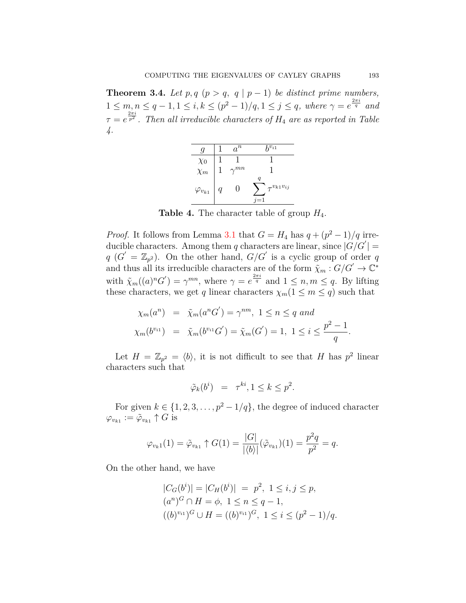**Theorem 3.4.** *Let*  $p, q$  ( $p > q$ ,  $q | p - 1$ ) *be distinct prime numbers,*  $1 \leq m, n \leq q-1, 1 \leq i, k \leq (p^2-1)/q, 1 \leq j \leq q$ , where  $\gamma = e^{\frac{2\pi i}{q}}$  and  $\tau = e^{\frac{2\pi i}{p^2}}$ . Then all irreducible characters of  $H_4$  are as reported in Table *4.*



**Table 4.** The character table of group *H*4.

*Proof.* It follows from Lemma [3.1](#page-3-0) that  $G = H_4$  has  $q + (p^2 - 1)/q$  irreducible characters. Among them *q* characters are linear, since  $|G/G'|$  =  $q$  ( $G' = \mathbb{Z}_{p^2}$ ). On the other hand,  $G/G'$  is a cyclic group of order *q* and thus all its irreducible characters are of the form  $\tilde{\chi}_m$  :  $G/G' \to \mathbb{C}^*$ with  $\tilde{\chi}_m((a)^n G') = \gamma^{mn}$ , where  $\gamma = e^{\frac{2\pi i}{q}}$  and  $1 \leq n, m \leq q$ . By lifting these characters, we get *q* linear characters  $\chi_m$ (1  $\leq$  *m*  $\leq$  *q*) such that

$$
\chi_m(a^n) = \tilde{\chi}_m(a^n G') = \gamma^{nm}, \ 1 \le n \le q \ and
$$
  

$$
\chi_m(b^{v_{i1}}) = \tilde{\chi}_m(b^{v_{i1}} G') = \tilde{\chi}_m(G') = 1, \ 1 \le i \le \frac{p^2 - 1}{q}.
$$

Let  $H = \mathbb{Z}_{p^2} = \langle b \rangle$ , it is not difficult to see that *H* has  $p^2$  linear characters such that

$$
\tilde{\varphi}_k(b^i) = \tau^{ki}, 1 \le k \le p^2.
$$

For given  $k \in \{1, 2, 3, \ldots, p^2 - 1/q\}$ , the degree of induced character  $\varphi_{v_{k1}} := \tilde{\varphi}_{v_{k1}} \uparrow G$  is

$$
\varphi_{v_{k}1}(1) = \tilde{\varphi}_{v_{k1}} \uparrow G(1) = \frac{|G|}{|\langle b \rangle|} (\tilde{\varphi}_{v_{k1}})(1) = \frac{p^2 q}{p^2} = q.
$$

On the other hand, we have

$$
|C_G(b^i)| = |C_H(b^i)| = p^2, \ 1 \le i, j \le p,
$$
  
\n
$$
(a^n)^G \cap H = \phi, \ 1 \le n \le q - 1,
$$
  
\n
$$
((b)^{v_{i1}})^G \cup H = ((b)^{v_{i1}})^G, \ 1 \le i \le (p^2 - 1)/q.
$$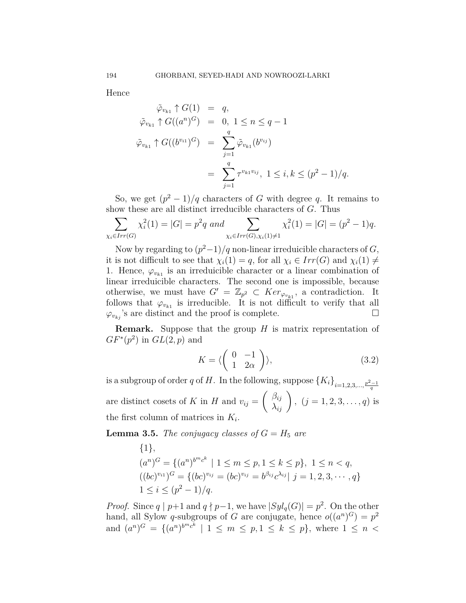Hence

$$
\tilde{\varphi}_{v_{k1}} \uparrow G(1) = q,
$$
\n
$$
\tilde{\varphi}_{v_{k1}} \uparrow G((a^n)^G) = 0, 1 \le n \le q - 1
$$
\n
$$
\tilde{\varphi}_{v_{k1}} \uparrow G((b^{v_{i1}})^G) = \sum_{j=1}^q \tilde{\varphi}_{v_{k1}}(b^{v_{ij}})
$$
\n
$$
= \sum_{j=1}^q \tau^{v_{k1}v_{ij}}, 1 \le i, k \le (p^2 - 1)/q.
$$

So, we get  $(p^2 - 1)/q$  characters of *G* with degree *q*. It remains to show these are all distinct irreducible characters of *G*. Thus

$$
\sum_{\chi_i \in Irr(G)} \chi_i^2(1) = |G| = p^2 q \text{ and } \sum_{\chi_i \in Irr(G), \chi_i(1) \neq 1} \chi_i^2(1) = |G| = (p^2 - 1)q.
$$

Now by regarding to  $(p^2-1)/q$  non-linear irreduicible characters of *G*, it is not difficult to see that  $\chi_i(1) = q$ , for all  $\chi_i \in Irr(G)$  and  $\chi_i(1) \neq$ 1. Hence,  $\varphi_{v_{k_1}}$  is an irreduicible character or a linear combination of linear irreduicible characters. The second one is impossible, because otherwise, we must have  $G' = \mathbb{Z}_{p^2} \subset Ker_{\varphi_{v_{k1}}},$  a contradiction. It follows that  $\varphi_{v_{k1}}$  is irreducible. It is not difficult to verify that all  $\varphi_{v_{ki}}$ 's are distinct and the proof is complete. □

**Remark.** Suppose that the group *H* is matrix representation of  $GF^{*}(p^{2})$  in  $GL(2,p)$  and

$$
K = \langle \begin{pmatrix} 0 & -1 \\ 1 & 2\alpha \end{pmatrix} \rangle, \tag{3.2}
$$

is a subgroup of order *q* of *H*. In the following, suppose  ${K_i}_{i=1,2,3,\dots,\frac{p^2-1}{q}}$ are distinct cosets of *K* in *H* and  $v_{ij} =$  $\begin{pmatrix} \beta_{ij} \\ \lambda_{ij} \end{pmatrix}$ ,  $(j = 1, 2, 3, \dots, q)$  is the first column of matrices in  $K_i$ .

<span id="page-5-0"></span>**Lemma 3.5.** *The conjugacy classes of*  $G = H_5$  *are* 

$$
\{1\},\
$$
  
\n
$$
(a^n)^G = \{(a^n)^{b^m c^k} \mid 1 \le m \le p, 1 \le k \le p\}, 1 \le n < q,
$$
  
\n
$$
((bc)^{v_{i1}})^G = \{(bc)^{v_{ij}} = (bc)^{v_{ij}} = b^{\beta_{ij}} c^{\lambda_{ij}} \mid j = 1, 2, 3, \cdots, q\}
$$
  
\n
$$
1 \le i \le (p^2 - 1)/q.
$$

*Proof.* Since *q* | *p*+1 and *q*  $\nmid$  *p*−1, we have  $|Syl_q(G)| = p^2$ . On the other hand, all Sylow *q*-subgroups of *G* are conjugate, hence  $o((a^n)^G) = p^2$ and  $(a^n)^G = \{(a^n)^{b^m c^k} \mid 1 \leq m \leq p, 1 \leq k \leq p\}$ , where  $1 \leq n <$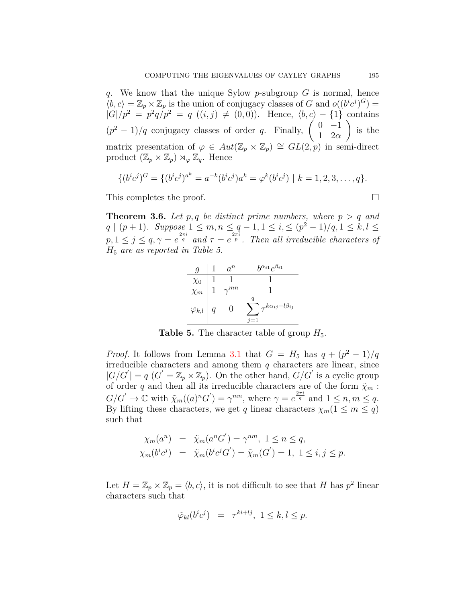*q*. We know that the unique Sylow *p*-subgroup *G* is normal, hence  $\langle b, c \rangle = \mathbb{Z}_p \times \mathbb{Z}_p$  is the union of conjugacy classes of *G* and  $o((b^i c^j)^G)$  $|G|/p^2 = p^2q/p^2 = q((i, j) \neq (0, 0)).$  Hence,  $\langle b, c \rangle - \{1\}$  contains  $(p^2 - 1)/q$  conjugacy classes of order *q*. Finally,  $\begin{pmatrix} 0 & -1 \\ 1 & 2\alpha \end{pmatrix}$ 1 2*α*  $\setminus$ is the matrix presentation of  $\varphi \in Aut(\mathbb{Z}_p \times \mathbb{Z}_p) \cong GL(2,p)$  in semi-direct product  $(\mathbb{Z}_p \times \mathbb{Z}_p) \rtimes_{\varphi} \mathbb{Z}_q$ . Hence

$$
\{(b^ic^j)^G = \{(b^ic^j)^{a^k} = a^{-k}(b^ic^j)a^k = \varphi^k(b^ic^j) \mid k = 1, 2, 3, \dots, q\}.
$$

This completes the proof. □

**Theorem 3.6.** Let  $p, q$  be distinct prime numbers, where  $p > q$  and  $q | (p+1)$ *. Suppose*  $1 \leq m, n \leq q-1, 1 \leq i, \leq (p^2-1)/q, 1 \leq k, l \leq q$  $p, 1 \leq j \leq q, \gamma = e^{\frac{2\pi i}{q}}$  and  $\tau = e^{\frac{2\pi i}{p}}$ . Then all irreducible characters of *H*<sup>5</sup> *are as reported in Table 5.*

|                                                | $a^n$         | $h^{\alpha_{i1}}c^{\beta_{i1}}$        |
|------------------------------------------------|---------------|----------------------------------------|
|                                                |               |                                        |
| $\begin{array}{c}\chi_0 \\ \chi_m \end{array}$ | $\gamma^{mn}$ |                                        |
| $\varphi_{k,l}$                                |               | q<br>$\tau^{k\alpha_{ij}+l\beta_{ij}}$ |

**Table 5.** The character table of group  $H_5$ .

*Proof.* It follows from Lemma [3.1](#page-3-0) that  $G = H_5$  has  $q + (p^2 - 1)/q$ irreducible characters and among them *q* characters are linear, since  $|G/G'| = q$   $(G' = \mathbb{Z}_p \times \mathbb{Z}_p)$ . On the other hand,  $G/G'$  is a cyclic group of order *q* and then all its irreducible characters are of the form  $\tilde{\chi}_m$ :  $G/G' \to \mathbb{C}$  with  $\tilde{\chi}_m((a)^nG') = \gamma^{mn}$ , where  $\gamma = e^{\frac{2\pi i}{q}}$  and  $1 \leq n, m \leq q$ . By lifting these characters, we get *q* linear characters  $\chi_m(1 \leq m \leq q)$ such that

$$
\chi_m(a^n) = \tilde{\chi}_m(a^n G') = \gamma^{nm}, \ 1 \le n \le q, \n\chi_m(b^i c^j) = \tilde{\chi}_m(b^i c^j G') = \tilde{\chi}_m(G') = 1, \ 1 \le i, j \le p.
$$

Let  $H = \mathbb{Z}_p \times \mathbb{Z}_p = \langle b, c \rangle$ , it is not difficult to see that *H* has  $p^2$  linear characters such that

$$
\tilde{\varphi}_{kl}(b^i c^j) = \tau^{ki + lj}, \ 1 \le k, l \le p.
$$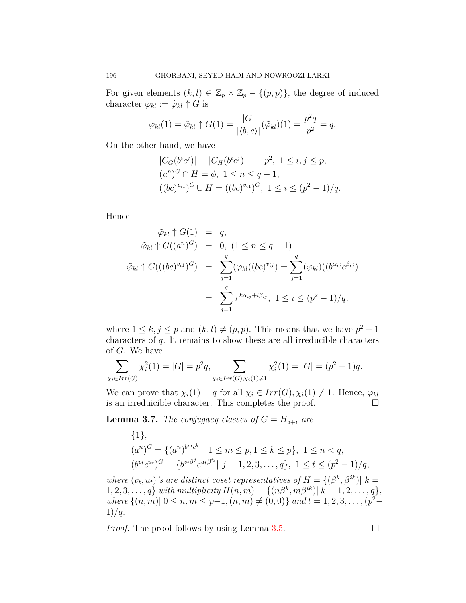For given elements  $(k, l) \in \mathbb{Z}_p \times \mathbb{Z}_p - \{(p, p)\}\$ , the degree of induced character  $\varphi_{kl} := \tilde{\varphi}_{kl} \uparrow G$  is

$$
\varphi_{kl}(1) = \tilde{\varphi}_{kl} \uparrow G(1) = \frac{|G|}{|\langle b, c \rangle|} (\tilde{\varphi}_{kl})(1) = \frac{p^2 q}{p^2} = q.
$$

On the other hand, we have

$$
|C_G(b^i c^j)| = |C_H(b^i c^j)| = p^2, \ 1 \le i, j \le p,
$$
  
\n
$$
(a^n)^G \cap H = \phi, \ 1 \le n \le q - 1,
$$
  
\n
$$
((bc)^{v_{i1}})^G \cup H = ((bc)^{v_{i1}})^G, \ 1 \le i \le (p^2 - 1)/q.
$$

Hence

$$
\tilde{\varphi}_{kl} \uparrow G(1) = q,
$$
  

$$
\tilde{\varphi}_{kl} \uparrow G((a^n)^G) = 0, (1 \le n \le q - 1)
$$
  

$$
\tilde{\varphi}_{kl} \uparrow G(((bc)^{v_{i1}})^G) = \sum_{j=1}^q (\varphi_{kl}((bc)^{v_{ij}}) = \sum_{j=1}^q (\varphi_{kl})((b^{\alpha_{ij}}c^{\beta_{ij}}))
$$
  

$$
= \sum_{j=1}^q \tau^{k\alpha_{ij} + l\beta_{ij}}, 1 \le i \le (p^2 - 1)/q,
$$

where  $1 \leq k, j \leq p$  and  $(k, l) \neq (p, p)$ . This means that we have  $p^2 - 1$ characters of *q*. It remains to show these are all irreducible characters of *G*. We have

$$
\sum_{\chi_i \in Irr(G)} \chi_i^2(1) = |G| = p^2 q, \sum_{\chi_i \in Irr(G), \chi_i(1) \neq 1} \chi_i^2(1) = |G| = (p^2 - 1)q.
$$

We can prove that  $\chi_i(1) = q$  for all  $\chi_i \in Irr(G), \chi_i(1) \neq 1$ . Hence,  $\varphi_{kl}$ is an irreduicible character. This completes the proof.  $\Box$ 

**Lemma 3.7.** *The conjugacy classes of*  $G = H_{5+i}$  *are* 

$$
\{1\},\
$$
  
\n
$$
(a^n)^G = \{(a^n)^{b^m c^k} \mid 1 \le m \le p, 1 \le k \le p\}, \ 1 \le n < q,
$$
  
\n
$$
(b^{v_t}c^{u_t})^G = \{b^{v_t \beta^j}c^{u_t \beta^{i_j}} \mid j = 1, 2, 3, \dots, q\}, \ 1 \le t \le (p^2 - 1)/q,
$$

*where*  $(v_t, u_t)$ 's are distinct coset representatives of  $H = \{(\beta^k, \beta^{ik}) | k = 1\}$  $1, 2, 3, \ldots, q$ *} with multiplicity*  $H(n, m) = \{(n\beta^k, m\beta^{ik}) | k = 1, 2, \ldots, q\}$ , *where*  $\{(n, m) | 0 \leq n, m \leq p-1, (n, m) \neq (0, 0)\}$  *and*  $t = 1, 2, 3, \ldots, (p^2-1)\}$ 1)*/q.*

*Proof.* The proof follows by using Lemma  $3.5$ .  $\Box$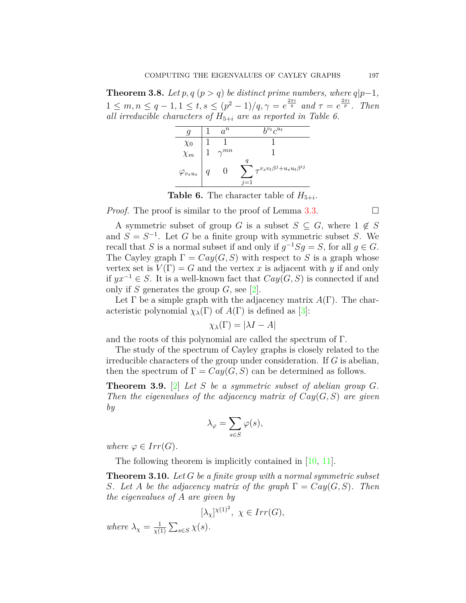**Theorem 3.8.** *Let*  $p, q$  ( $p > q$ ) *be distinct prime numbers, where*  $q|p-1$ *,*  $1 \leq m, n \leq q-1, 1 \leq t, s \leq (p^2-1)/q, \gamma = e^{\frac{2\pi i}{q}}$  and  $\tau = e^{\frac{2\pi i}{p}}$ . Then *all irreducible characters of*  $H_{5+i}$  *are as reported in Table 6.* 

|                     | $a^n$         | $h^{v_t}c^{u_t}$                                     |
|---------------------|---------------|------------------------------------------------------|
| $\chi_0$            |               |                                                      |
| $\chi_m$            | $\gamma^{mn}$ |                                                      |
| $\varphi_{v_s u_s}$ |               | q<br>, $\gamma v_s v_t \beta^j + u_s u_t \beta^{ij}$ |

**Table 6.** The character table of  $H_{5+i}$ .

*Proof.* The proof is similar to the proof of Lemma [3.3](#page-3-1).  $\Box$ 

A symmetric subset of group *G* is a subset  $S \subseteq G$ , where  $1 \notin S$ and  $S = S^{-1}$ . Let *G* be a finite group with symmetric subset *S*. We recall that *S* is a normal subset if and only if  $g^{-1}Sg = S$ , for all  $g \in G$ . The Cayley graph  $\Gamma = Cay(G, S)$  with respect to *S* is a graph whose vertex set is  $V(\Gamma) = G$  and the vertex x is adjacent with y if and only if *yx−*<sup>1</sup> *∈ S*. It is a well-known fact that *Cay*(*G, S*) is connected if and only if *S* generates the group *G*, see [\[2\]](#page-13-5).

Let  $\Gamma$  be a simple graph with the adjacency matrix  $A(\Gamma)$ . The characteristic polynomial  $\chi_{\lambda}(\Gamma)$  of  $A(\Gamma)$  is defined as [\[3](#page-13-6)]:

$$
\chi_{\lambda}(\Gamma) = |\lambda I - A|
$$

and the roots of this polynomial are called the spectrum of Γ.

The study of the spectrum of Cayley graphs is closely related to the irreducible characters of the group under consideration. If *G* is abelian, then the spectrum of  $\Gamma = Cay(G, S)$  can be determined as follows.

**Theorem 3.9.** [\[2](#page-13-5)] *Let S be a symmetric subset of abelian group G. Then the eigenvalues of the adjacency matrix of Cay*(*G, S*) *are given by*

$$
\lambda_{\varphi} = \sum_{s \in S} \varphi(s),
$$

*where*  $\varphi \in Irr(G)$ *.* 

The following theorem is implicitly contained in [\[10](#page-13-1), [11](#page-14-0)].

<span id="page-8-0"></span>**Theorem 3.10.** *Let G be a finite group with a normal symmetric subset S.* Let *A be the adjacency matrix of the graph*  $\Gamma = Cay(G, S)$ *. Then the eigenvalues of A are given by*

$$
[\lambda_{\chi}]^{\chi(1)^2}, \ \chi \in Irr(G),
$$

*where*  $\lambda_{\chi} = \frac{1}{\gamma}$  $\frac{1}{\chi(1)}$   $\sum_{s \in S} \chi(s)$ .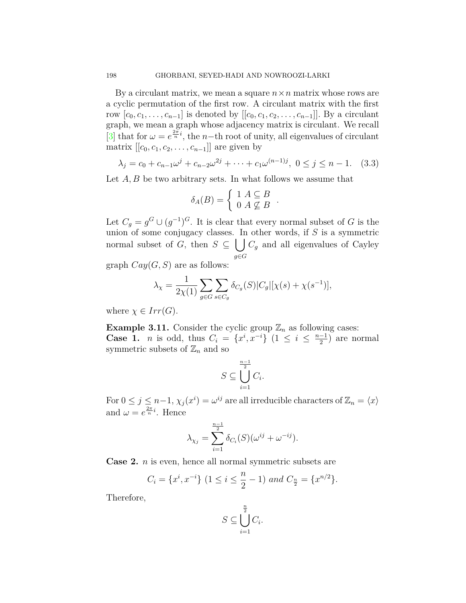By a circulant matrix, we mean a square  $n \times n$  matrix whose rows are a cyclic permutation of the first row. A circulant matrix with the first row  $[c_0, c_1, \ldots, c_{n-1}]$  is denoted by  $[[c_0, c_1, c_2, \ldots, c_{n-1}]]$ . By a circulant graph, we mean a graph whose adjacency matrix is circulant. We recall [[3\]](#page-13-6) that for  $\omega = e^{\frac{2\pi}{n}i}$ , the *n*−th root of unity, all eigenvalues of circulant matrix  $[[c_0, c_1, c_2, \ldots, c_{n-1}]]$  are given by

$$
\lambda_j = c_0 + c_{n-1}\omega^j + c_{n-2}\omega^{2j} + \dots + c_1\omega^{(n-1)j}, \ 0 \le j \le n-1. \quad (3.3)
$$

Let *A*, *B* be two arbitrary sets. In what follows we assume that

$$
\delta_A(B) = \begin{cases} 1 & A \subseteq B \\ 0 & A \nsubseteq B \end{cases}.
$$

Let  $C_g = g^G \cup (g^{-1})^G$ . It is clear that every normal subset of *G* is the union of some conjugacy classes. In other words, if *S* is a symmetric normal subset of *G*, then  $S \subseteq \bigcup C_g$  and all eigenvalues of Cayley *g∈G*

graph  $Cay(G, S)$  are as follows:

$$
\lambda_{\chi} = \frac{1}{2\chi(1)} \sum_{g \in G} \sum_{s \in C_g} \delta_{C_g}(S) |C_g| [\chi(s) + \chi(s^{-1})],
$$

where  $\chi \in Irr(G)$ .

<span id="page-9-0"></span>**Example 3.11.** Consider the cyclic group  $\mathbb{Z}_n$  as following cases: **Case 1.** *n* is odd, thus  $C_i = \{x^i, x^{-i}\}$  (1  $\leq i \leq \frac{n-1}{2}$ ) are normal symmetric subsets of  $\mathbb{Z}_n$  and so

$$
S \subseteq \bigcup_{i=1}^{\frac{n-1}{2}} C_i.
$$

For  $0 \leq j \leq n-1$ ,  $\chi_j(x^i) = \omega^{ij}$  are all irreducible characters of  $\mathbb{Z}_n = \langle x \rangle$ and  $\omega = e^{\frac{2\pi}{n}i}$ . Hence

$$
\lambda_{\chi_j} = \sum_{i=1}^{\frac{n-1}{2}} \delta_{C_i}(S)(\omega^{ij} + \omega^{-ij}).
$$

**Case 2.** *n* is even, hence all normal symmetric subsets are

$$
C_i = \{x^i, x^{-i}\} \ (1 \le i \le \frac{n}{2} - 1) \ and \ C_{\frac{n}{2}} = \{x^{n/2}\}.
$$

Therefore,

$$
S \subseteq \bigcup_{i=1}^{\frac{n}{2}} C_i.
$$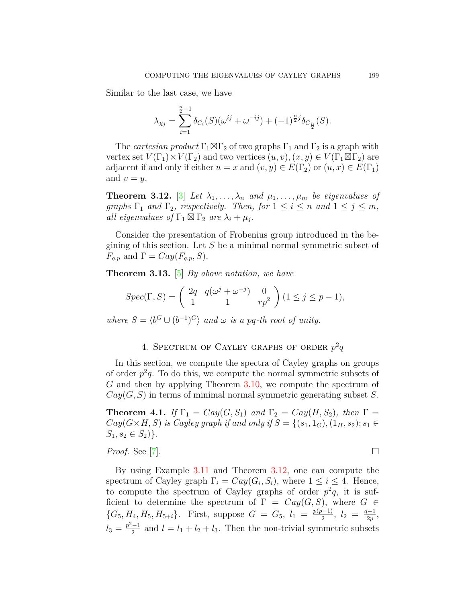Similar to the last case, we have

$$
\lambda_{\chi_j} = \sum_{i=1}^{\frac{n}{2}-1} \delta_{C_i}(S)(\omega^{ij} + \omega^{-ij}) + (-1)^{\frac{n}{2}j} \delta_{C_{\frac{n}{2}}}(S).
$$

The *cartesian product*  $\Gamma_1 \boxtimes \Gamma_2$  of two graphs  $\Gamma_1$  and  $\Gamma_2$  is a graph with vertex set  $V(\Gamma_1) \times V(\Gamma_2)$  and two vertices  $(u, v), (x, y) \in V(\Gamma_1 \boxtimes \Gamma_2)$  are adjacent if and only if either  $u = x$  and  $(v, y) \in E(\Gamma_2)$  or  $(u, x) \in E(\Gamma_1)$ and  $v = y$ .

<span id="page-10-0"></span>**Theorem 3.12.** [[3\]](#page-13-6) Let  $\lambda_1, \ldots, \lambda_n$  and  $\mu_1, \ldots, \mu_m$  be eigenvalues of *graphs*  $\Gamma_1$  *and*  $\Gamma_2$ *, respectively. Then, for*  $1 \leq i \leq n$  *and*  $1 \leq j \leq m$ *, all eigenvalues of*  $\Gamma_1 \boxtimes \Gamma_2$  *are*  $\lambda_i + \mu_j$ .

Consider the presentation of Frobenius group introduced in the begining of this section. Let *S* be a minimal normal symmetric subset of  $F_{q,p}$  and  $\Gamma = Cay(F_{q,p}, S)$ .

**Theorem 3.13.** [\[5](#page-13-2)] *By above notation, we have*

$$
Spec(\Gamma, S) = \begin{pmatrix} 2q & q(\omega^j + \omega^{-j}) & 0 \\ 1 & 1 & rp^2 \end{pmatrix} (1 \le j \le p - 1),
$$

*where*  $S = \langle b^G \cup (b^{-1})^G \rangle$  *and*  $\omega$  *is a pq-th root of unity.* 

# 4. SPECTRUM OF CAYLEY GRAPHS OF ORDER  $p^2q$

In this section, we compute the spectra of Cayley graphs on groups of order  $p^2q$ . To do this, we compute the normal symmetric subsets of *G* and then by applying Theorem [3.10](#page-8-0), we compute the spectrum of *Cay*(*G, S*) in terms of minimal normal symmetric generating subset *S*.

**Theorem 4.1.** *If*  $\Gamma_1 = Cay(G, S_1)$  *and*  $\Gamma_2 = Cay(H, S_2)$ *, then*  $\Gamma =$ *Cay*(*G*×*H, S*) *is Cayley graph if and only if*  $S = \{(s_1, 1_G), (1_H, s_2); s_1 ∈$  $S_1, s_2 \in S_2$ ).

## *Proof.* See [\[7](#page-13-4)].  $\Box$

By using Example [3.11](#page-9-0) and Theorem [3.12](#page-10-0), one can compute the spectrum of Cayley graph  $\Gamma_i = Cay(G_i, S_i)$ , where  $1 \leq i \leq 4$ . Hence, to compute the spectrum of Cayley graphs of order  $p^2q$ , it is sufficient to determine the spectrum of  $\Gamma = Cay(G, S)$ , where  $G \in$  ${G_5, H_4, H_5, H_{5+i}}$ . First, suppose  $G = G_5$ ,  $l_1 = \frac{p(p-1)}{2}$ ,  $l_2 = \frac{q-1}{2p}$ ,  $l_3 = \frac{p^2-1}{2}$  and  $l = l_1 + l_2 + l_3$ . Then the non-trivial symmetric subsets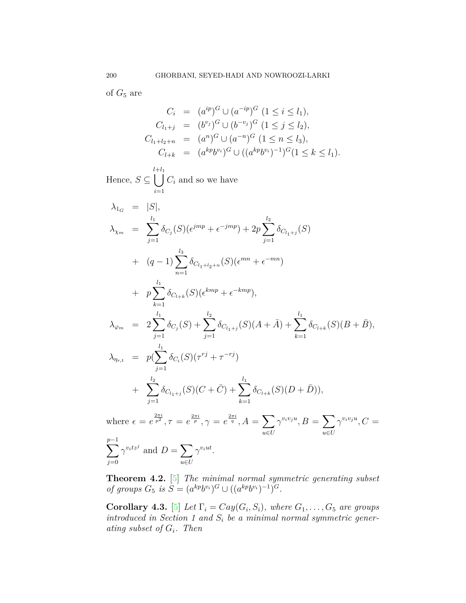of  $G_5$  are

$$
C_i = (a^{ip})^G \cup (a^{-ip})^G \ (1 \le i \le l_1),
$$
  
\n
$$
C_{l_1+j} = (b^{v_j})^G \cup (b^{-v_j})^G \ (1 \le j \le l_2),
$$
  
\n
$$
C_{l_1+l_2+n} = (a^n)^G \cup (a^{-n})^G \ (1 \le n \le l_3),
$$
  
\n
$$
C_{l+k} = (a^{kp}b^{v_i})^G \cup ((a^{kp}b^{v_i})^{-1})^G (1 \le k \le l_1).
$$

Hence, 
$$
S \subseteq \bigcup_{i=1}^{l+l_1} C_i
$$
 and so we have  
\n
$$
\lambda_{1_G} = |S|,
$$
\n
$$
\lambda_{\chi_m} = \sum_{j=1}^{l_1} \delta_{C_j}(S)(\epsilon^{jmp} + \epsilon^{-jmp}) + 2p \sum_{j=1}^{l_2} \delta_{C_{l_1+j}}(S)
$$
\n
$$
+ (q-1) \sum_{n=1}^{l_3} \delta_{C_{l_1+l_2+n}}(S)(\epsilon^{mn} + \epsilon^{-mn})
$$
\n
$$
+ p \sum_{k=1}^{l_1} \delta_{C_{l+k}}(S)(\epsilon^{kmp} + \epsilon^{-kmp}),
$$
\n
$$
\lambda_{\varphi_m} = 2 \sum_{j=1}^{l_1} \delta_{C_j}(S) + \sum_{j=1}^{l_2} \delta_{C_{l_1+j}}(S)(A + \bar{A}) + \sum_{k=1}^{l_1} \delta_{C_{l+k}}(S)(B + \bar{B}),
$$
\n
$$
\lambda_{\eta_{r,t}} = p(\sum_{j=1}^{l_1} \delta_{C_i}(S)(\tau^{rj} + \tau^{-rj}) + \sum_{k=1}^{l_2} \delta_{C_{l_1+j}}(S)(C + \bar{C}) + \sum_{k=1}^{l_1} \delta_{C_{l+k}}(S)(D + \bar{D})),
$$

where  $\epsilon = e^{\frac{2\pi i}{p^2}}, \tau = e^{\frac{2\pi i}{p}}, \gamma = e^{\frac{2\pi i}{q}}, A = \sum$ *u∈U*  $\gamma^{v_i v_j u}, B = \sum$ *u∈U*  $\gamma^{v_i v_j u}, C =$ ∑ *p−*1 *j*=0  $\gamma^{v_i t z^j}$  and  $D = \sum$ *u∈U*  $\gamma^{v_i ut}$ .

<span id="page-11-0"></span>**Theorem 4.2.** [[5\]](#page-13-2) *The minimal normal symmetric generating subset of groups*  $G_5$  *is*  $S = (a^{kp}b^{v_i})^G \cup ((a^{kp}b^{v_i})^{-1})^G$ .

**Corollary 4.3.** [\[5](#page-13-2)] *Let*  $\Gamma_i = Cay(G_i, S_i)$ *, where*  $G_1, \ldots, G_5$  *are groups introduced in Section 1 and S<sup>i</sup> be a minimal normal symmetric generating subset of Gi. Then*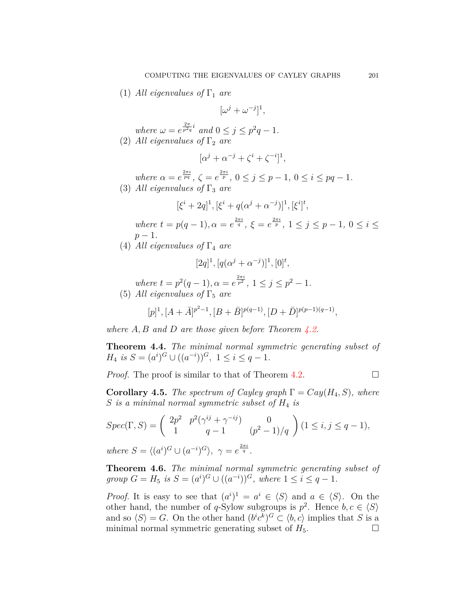(1) *All eigenvalues of*  $\Gamma_1$  *are* 

$$
[\omega^j + \omega^{-j}]^1,
$$

*where*  $\omega = e^{\frac{2\pi}{p^2 q}i}$  *and*  $0 \le j \le p^2 q - 1$ *.* (2) *All eigenvalues of*  $\Gamma_2$  *are* 

$$
[\alpha^j + \alpha^{-j} + \zeta^i + \zeta^{-i}]^1,
$$

where  $\alpha = e^{\frac{2\pi i}{pq}}, \zeta = e^{\frac{2\pi i}{p}}, 0 \le j \le p-1, 0 \le i \le pq-1.$ (3) *All eigenvalues of*  $\Gamma_3$  *are* 

$$
[\xi^{i} + 2q]^{1}, [\xi^{i} + q(\alpha^{j} + \alpha^{-j})]^{1}, [\xi^{i}]^{t},
$$
  
where  $t = p(q - 1), \alpha = e^{\frac{2\pi i}{q}}, \xi = e^{\frac{2\pi i}{p}}, 1 \le j \le p - 1, 0 \le i \le p - 1.$ 

(4) *All eigenvalues of*  $\Gamma_4$  *are* 

$$
[2q]^1, [q(\alpha^j + \alpha^{-j})]^1, [0]^t,
$$

*where*  $t = p^2(q-1), \alpha = e^{\frac{2\pi i}{p^2}}, 1 \leq j \leq p^2 - 1.$ (5) *All eigenvalues of*  $\Gamma_5$  *are* 

$$
[p]^1, [A + \bar{A}]^{p^2 - 1}, [B + \bar{B}]^{p(q-1)}, [D + \bar{D}]^{p(p-1)(q-1)},
$$

*where A, B and D are those given before Theorem [4.2](#page-11-0).*

**Theorem 4.4.** *The minimal normal symmetric generating subset of H*<sub>4</sub> *is*  $S = (a^i)^G \cup ((a^{-i}))^G$ ,  $1 \le i \le q - 1$ .

*Proof.* The proof is similar to that of Theorem  $4.2$ .  $\Box$ 

**Corollary 4.5.** *The spectrum of Cayley graph*  $\Gamma = Cay(H_4, S)$ *, where S is a minimal normal symmetric subset of H*<sup>4</sup> *is*

$$
Spec(\Gamma, S) = \begin{pmatrix} 2p^2 & p^2(\gamma^{ij} + \gamma^{-ij}) & 0\\ 1 & q - 1 & (p^2 - 1)/q \end{pmatrix} (1 \le i, j \le q - 1),
$$
  
where  $S = \langle (a^i)^G \cup (a^{-i})^G \rangle$ ,  $\gamma = e^{\frac{2\pi i}{q}}$ .

**Theorem 4.6.** *The minimal normal symmetric generating subset of group*  $G = H_5$  *is*  $S = (a^i)^G \cup ((a^{-i}))^G$ *, where*  $1 \le i \le q - 1$ *.* 

*Proof.* It is easy to see that  $(a^i)^1 = a^i \in \langle S \rangle$  and  $a \in \langle S \rangle$ . On the other hand, the number of *q*-Sylow subgroups is  $p^2$ . Hence  $b, c \in \langle S \rangle$ and so  $\langle S \rangle = G$ . On the other hand  $(b^i c^k)^G \subset \langle b, c \rangle$  implies that *S* is a minimal normal symmetric generating subset of  $H_5$ .  $\Box$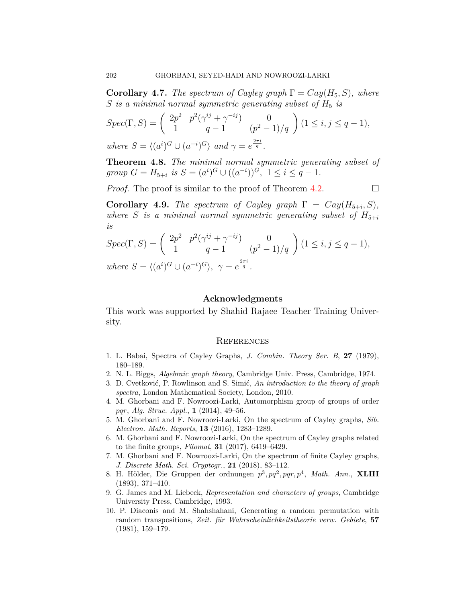**Corollary 4.7.** *The spectrum of Cayley graph*  $\Gamma = Cay(H_5, S)$ *, where S* is a minimal normal symmetric generating subset of  $H_5$  is

$$
Spec(\Gamma, S) = \begin{pmatrix} 2p^2 & p^2(\gamma^{ij} + \gamma^{-ij}) & 0\\ 1 & q - 1 & (p^2 - 1)/q \end{pmatrix} (1 \le i, j \le q - 1),
$$
  
where  $S = \langle (a^i)^G \cup (a^{-i})^G \rangle$  and  $\gamma = e^{\frac{2\pi i}{q}}$ .

**Theorem 4.8.** *The minimal normal symmetric generating subset of group*  $G = H_{5+i}$  *is*  $S = (a^i)^G \cup ((a^{-i}))^G$ ,  $1 \le i \le q - 1$ .

*Proof.* The proof is similar to the proof of Theorem [4.2.](#page-11-0)  $\Box$ 

**Corollary 4.9.** *The spectrum of Cayley graph*  $\Gamma = Cay(H_{5+i}, S)$ *, where S is a minimal normal symmetric generating subset of*  $H_{5+i}$ *is*

$$
Spec(\Gamma, S) = \begin{pmatrix} 2p^2 & p^2(\gamma^{ij} + \gamma^{-ij}) & 0\\ 1 & q - 1 & (p^2 - 1)/q \end{pmatrix} (1 \le i, j \le q - 1),
$$
  
where  $S = \langle (a^i)^G \cup (a^{-i})^G \rangle$ ,  $\gamma = e^{\frac{2\pi i}{q}}$ .

#### **Acknowledgments**

This work was supported by Shahid Rajaee Teacher Training University.

#### **REFERENCES**

- <span id="page-13-0"></span>1. L. Babai, Spectra of Cayley Graphs, *J. Combin. Theory Ser. B*, **27** (1979), 180–189.
- <span id="page-13-5"></span>2. N. L. Biggs, *Algebraic graph theory*, Cambridge Univ. Press, Cambridge, 1974.
- <span id="page-13-6"></span>3. D. Cvetković, P. Rowlinson and S. Simić, *An introduction to the theory of graph spectra*, London Mathematical Society, London, 2010.
- <span id="page-13-8"></span>4. M. Ghorbani and F. Nowroozi-Larki, Automorphism group of groups of order *pqr*, *Alg. Struc. Appl.*, **1** (2014), 49–56.
- <span id="page-13-2"></span>5. M. Ghorbani and F. Nowroozi-Larki, On the spectrum of Cayley graphs, *Sib. Electron. Math. Reports*, **13** (2016), 1283–1289.
- <span id="page-13-3"></span>6. M. Ghorbani and F. Nowroozi-Larki, On the spectrum of Cayley graphs related to the finite groups, *Filomat*, **31** (2017), 6419–6429.
- <span id="page-13-4"></span>7. M. Ghorbani and F. Nowroozi-Larki, On the spectrum of finite Cayley graphs, *J. Discrete Math. Sci. Cryptogr.*, **21** (2018), 83–112.
- <span id="page-13-9"></span>8. H. Hölder, Die Gruppen der ordnungen *p* 3 *, pq*<sup>2</sup> *, pqr, p*<sup>4</sup> , *Math. Ann.*, **XLIII** (1893), 371–410.
- <span id="page-13-7"></span>9. G. James and M. Liebeck, *Representation and characters of groups*, Cambridge University Press, Cambridge, 1993.
- <span id="page-13-1"></span>10. P. Diaconis and M. Shahshahani, Generating a random permutation with random transpositions, *Zeit. für Wahrscheinlichkeitstheorie verw. Gebiete*, **57** (1981), 159–179.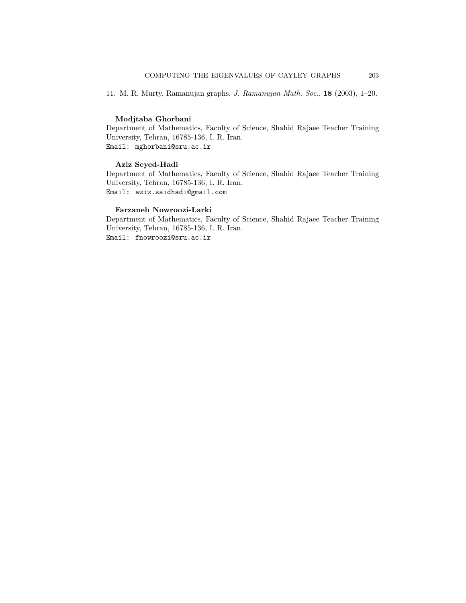<span id="page-14-0"></span>11. M. R. Murty, Ramanujan graphs, *J. Ramanujan Math. Soc.*, **18** (2003), 1–20.

#### **Modjtaba Ghorbani**

Department of Mathematics, Faculty of Science, Shahid Rajaee Teacher Training University, Tehran, 16785-136, I. R. Iran. Email: mghorbani@sru.ac.ir

#### **Aziz Seyed-Hadi**

Department of Mathematics, Faculty of Science, Shahid Rajaee Teacher Training University, Tehran, 16785-136, I. R. Iran. Email: aziz.saidhadi@gmail.com

#### **Farzaneh Nowroozi-Larki**

Department of Mathematics, Faculty of Science, Shahid Rajaee Teacher Training University, Tehran, 16785-136, I. R. Iran. Email: fnowroozi@sru.ac.ir